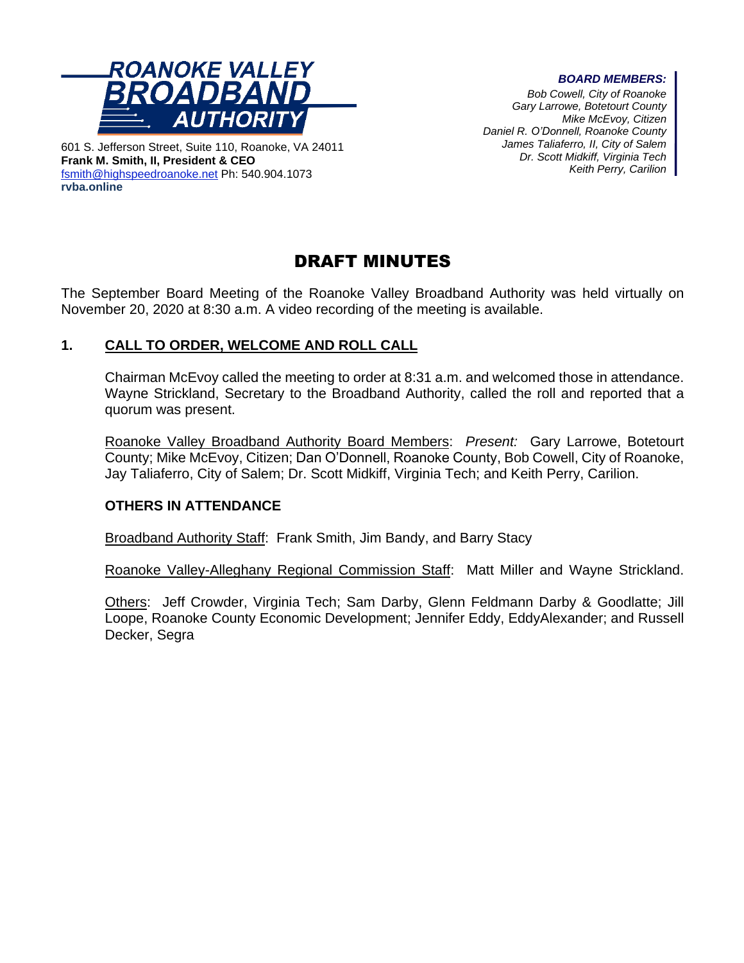

601 S. Jefferson Street, Suite 110, Roanoke, VA 24011 **Frank M. Smith, II, President & CEO** [fsmith@highspeedroanoke.net](mailto:fsmith@highspeedroanoke.net) Ph: 540.904.1073 **rvba.online**

#### *BOARD MEMBERS:*

*Bob Cowell, City of Roanoke Gary Larrowe, Botetourt County Mike McEvoy, Citizen Daniel R. O'Donnell, Roanoke County James Taliaferro, II, City of Salem Dr. Scott Midkiff, Virginia Tech Keith Perry, Carilion*

# DRAFT MINUTES

The September Board Meeting of the Roanoke Valley Broadband Authority was held virtually on November 20, 2020 at 8:30 a.m. A video recording of the meeting is available.

# **1. CALL TO ORDER, WELCOME AND ROLL CALL**

Chairman McEvoy called the meeting to order at 8:31 a.m. and welcomed those in attendance. Wayne Strickland, Secretary to the Broadband Authority, called the roll and reported that a quorum was present.

Roanoke Valley Broadband Authority Board Members: *Present:* Gary Larrowe, Botetourt County; Mike McEvoy, Citizen; Dan O'Donnell, Roanoke County, Bob Cowell, City of Roanoke, Jay Taliaferro, City of Salem; Dr. Scott Midkiff, Virginia Tech; and Keith Perry, Carilion.

### **OTHERS IN ATTENDANCE**

Broadband Authority Staff: Frank Smith, Jim Bandy, and Barry Stacy

Roanoke Valley-Alleghany Regional Commission Staff: Matt Miller and Wayne Strickland.

Others: Jeff Crowder, Virginia Tech; Sam Darby, Glenn Feldmann Darby & Goodlatte; Jill Loope, Roanoke County Economic Development; Jennifer Eddy, EddyAlexander; and Russell Decker, Segra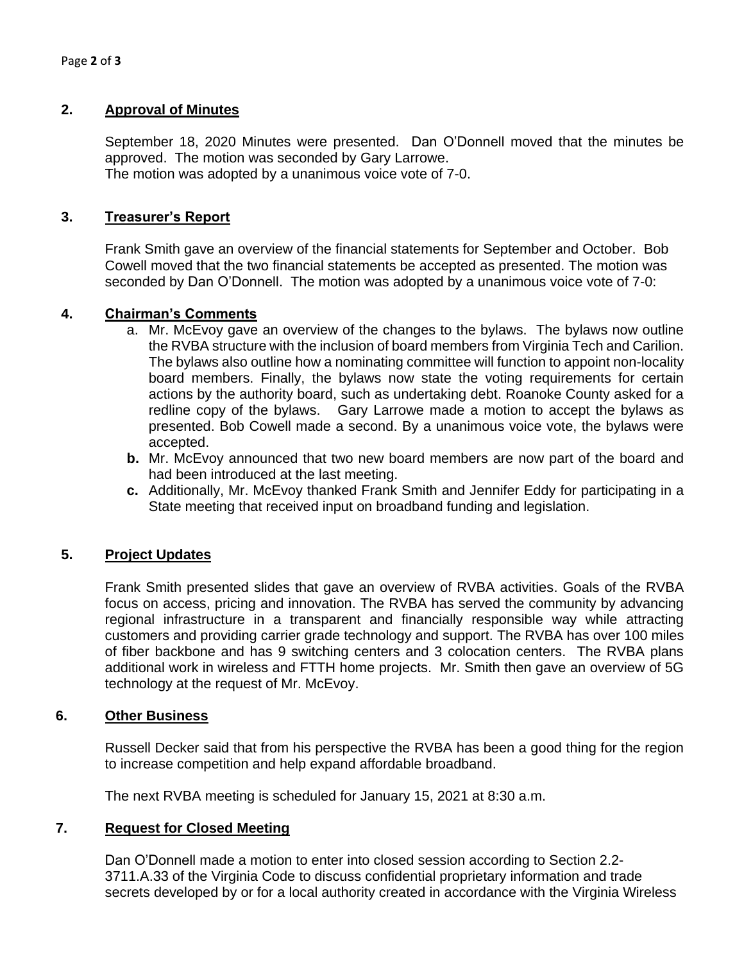### **2. Approval of Minutes**

September 18, 2020 Minutes were presented. Dan O'Donnell moved that the minutes be approved. The motion was seconded by Gary Larrowe. The motion was adopted by a unanimous voice vote of 7-0.

# **3. Treasurer's Report**

Frank Smith gave an overview of the financial statements for September and October. Bob Cowell moved that the two financial statements be accepted as presented. The motion was seconded by Dan O'Donnell. The motion was adopted by a unanimous voice vote of 7-0:

### **4. Chairman's Comments**

- a. Mr. McEvoy gave an overview of the changes to the bylaws. The bylaws now outline the RVBA structure with the inclusion of board members from Virginia Tech and Carilion. The bylaws also outline how a nominating committee will function to appoint non-locality board members. Finally, the bylaws now state the voting requirements for certain actions by the authority board, such as undertaking debt. Roanoke County asked for a redline copy of the bylaws. Gary Larrowe made a motion to accept the bylaws as presented. Bob Cowell made a second. By a unanimous voice vote, the bylaws were accepted.
- **b.** Mr. McEvoy announced that two new board members are now part of the board and had been introduced at the last meeting.
- **c.** Additionally, Mr. McEvoy thanked Frank Smith and Jennifer Eddy for participating in a State meeting that received input on broadband funding and legislation.

### **5. Project Updates**

Frank Smith presented slides that gave an overview of RVBA activities. Goals of the RVBA focus on access, pricing and innovation. The RVBA has served the community by advancing regional infrastructure in a transparent and financially responsible way while attracting customers and providing carrier grade technology and support. The RVBA has over 100 miles of fiber backbone and has 9 switching centers and 3 colocation centers. The RVBA plans additional work in wireless and FTTH home projects. Mr. Smith then gave an overview of 5G technology at the request of Mr. McEvoy.

### **6. Other Business**

Russell Decker said that from his perspective the RVBA has been a good thing for the region to increase competition and help expand affordable broadband.

The next RVBA meeting is scheduled for January 15, 2021 at 8:30 a.m.

### **7. Request for Closed Meeting**

Dan O'Donnell made a motion to enter into closed session according to Section 2.2- 3711.A.33 of the Virginia Code to discuss confidential proprietary information and trade secrets developed by or for a local authority created in accordance with the Virginia Wireless